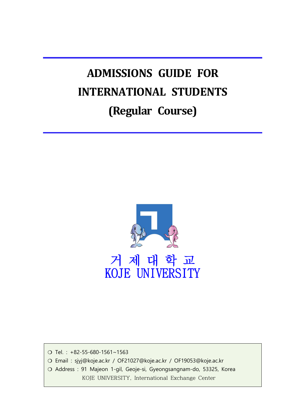# **ADMISSIONS GUIDE FOR INTERNATIONAL STUDENTS (Regular Course)**



❍ Tel. : +82-55-680-1561~1563

❍ Email : sjyj@koje.ac.kr / OF21027@koje.ac.kr / OF19053@koje.ac.kr

❍ Address : 91 Majeon 1-gil, Geoje-si, Gyeongsangnam-do, 53325, Korea

KOJE UNIVERSITY, International Exchange Center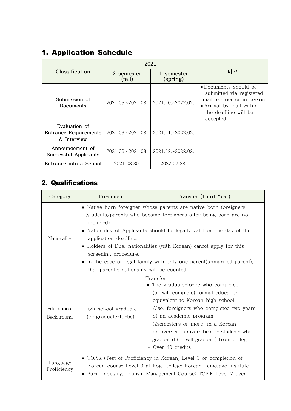# 1. Application Schedule

|                                                       | 2021                     |                          |                                                                                                                                               |  |  |
|-------------------------------------------------------|--------------------------|--------------------------|-----------------------------------------------------------------------------------------------------------------------------------------------|--|--|
| Classification                                        | 2 semester<br>(fall)     | 1 semester<br>(spring)   | 비고                                                                                                                                            |  |  |
| Submission of<br>Documents                            | $2021.05 \times 2021.08$ | $2021.10 \times 2022.02$ | ■ Documents should be<br>submitted via registered<br>mail, courier or in person<br>Arrival by mail within<br>the deadline will be<br>accepted |  |  |
| Evaluation of<br>Entrance Requirements<br>& Interview | $2021.06 \times 2021.08$ | $2021.11 - 2022.02$ .    |                                                                                                                                               |  |  |
| Announcement of<br>Successful Applicants              | 2021.06.~2021.08.        | 2021.12.~2022.02.        |                                                                                                                                               |  |  |
| Entrance into a School                                | 2021.08.30.              | 2022.02.28.              |                                                                                                                                               |  |  |

# 2. Qualifications

| Category                  | Freshmen                                                                                                                                                                                             | Transfer (Third Year)                                                                                                                                                                                                                                                                                                                               |  |  |  |  |  |
|---------------------------|------------------------------------------------------------------------------------------------------------------------------------------------------------------------------------------------------|-----------------------------------------------------------------------------------------------------------------------------------------------------------------------------------------------------------------------------------------------------------------------------------------------------------------------------------------------------|--|--|--|--|--|
|                           | included)                                                                                                                                                                                            | • Native-born foreigner whose parents are native-born foreigners<br>(students/parents who became foreigners after being born are not                                                                                                                                                                                                                |  |  |  |  |  |
| Nationality               | п<br>application deadline.                                                                                                                                                                           | Nationality of Applicants should be legally valid on the day of the                                                                                                                                                                                                                                                                                 |  |  |  |  |  |
|                           | screening procedure.                                                                                                                                                                                 | • Holders of Dual nationalities (with Korean) cannot apply for this                                                                                                                                                                                                                                                                                 |  |  |  |  |  |
|                           | In the case of legal family with only one parent(unmarried parent),<br>that parent's nationality will be counted.                                                                                    |                                                                                                                                                                                                                                                                                                                                                     |  |  |  |  |  |
| Educational<br>Background | High-school graduate<br>(or graduate-to-be)                                                                                                                                                          | Transfer<br>• The graduate-to-be who completed<br>(or will complete) formal education<br>equivalent to Korean high school.<br>Also, foreigners who completed two years<br>of an academic program<br>(2semesters or more) in a Korean<br>or overseas universities or students who<br>graduated (or will graduate) from college.<br>* Over 40 credits |  |  |  |  |  |
| Language<br>Proficiency   | • TOPIK (Test of Proficiency in Korean) Level 3 or completion of<br>Korean course Level 3 at Koje College Korean Language Institute<br>Pu-ri Industry, Tourism Management Course: TOPIK Level 2 over |                                                                                                                                                                                                                                                                                                                                                     |  |  |  |  |  |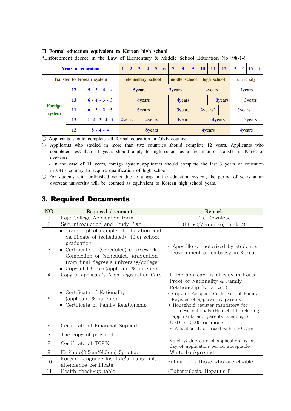|  | $\Box$ Formal education equivalent to Korean high school |  |  |  |
|--|----------------------------------------------------------|--|--|--|
|  |                                                          |  |  |  |

\*Enforcement decree in the Law of Elementary & Middle School Education No. 98-1-9

|                          |    | <b>Years of education</b>        | $\overline{2}$     | $\mathbf{3}$  | $\overline{\mathbf{4}}$     | 5 <sup>5</sup>    | 6 | $\overline{7}$ | 8             | 9             | <b>10</b> | 11            | 12            | 13 | 14            | 15     | <b>16</b> |
|--------------------------|----|----------------------------------|--------------------|---------------|-----------------------------|-------------------|---|----------------|---------------|---------------|-----------|---------------|---------------|----|---------------|--------|-----------|
|                          |    | <b>Transfer to Korean system</b> |                    |               |                             | elementary school |   |                |               | middle school |           | high school   |               |    | university    |        |           |
|                          | 12 | $5 - 3 - 4 - 4$                  |                    | <b>5years</b> |                             |                   |   | <b>3years</b>  |               |               |           | 4years        |               |    |               | 4years |           |
|                          | 13 | $6 - 4 - 3 - 3$                  |                    |               | <b>byears</b>               |                   |   |                | 4years        |               |           |               | <b>3years</b> |    |               | 3years |           |
| <b>Foreign</b><br>system | 11 | $6 - 3 - 2 - 5$                  |                    |               | <b><i><u>Syears</u></i></b> |                   |   |                | <b>3years</b> |               |           | $2$ years $*$ |               |    | <b>Syears</b> |        |           |
|                          | 13 | $2 - 4 - 3 - 4 - 3$              | 2 <sub>years</sub> |               |                             | 4years            |   |                | <b>3years</b> |               |           |               | 4years        |    |               | 3years |           |
|                          | 12 | $8 - 4 - 4$                      |                    |               |                             | <b>8years</b>     |   |                |               |               |           | 4years        |               |    |               | 4years |           |

○ Applicants should complete all formal education in ONE country.

○ Applicants who studied in more than two countries should complete 12 years. Applicants who completed less than 11 years should apply to high school as a freshman or transfer in Korea or overseas.

 - In the case of 11 years, foreign system applicants should complete the last 3 years of education in ONE country to acquire qualification of high school.

○ For students with unfinished years due to a gap in the education system, the period of years at an overseas university will be counted as equivalent to Korean high school years.

# 3. Required Documents

| NO             | Required documents                                                                                                                                                                                                                                               | Remark                                                                                                                                                                                                                                                         |
|----------------|------------------------------------------------------------------------------------------------------------------------------------------------------------------------------------------------------------------------------------------------------------------|----------------------------------------------------------------------------------------------------------------------------------------------------------------------------------------------------------------------------------------------------------------|
| 1              | Koje College Application form                                                                                                                                                                                                                                    | File Download                                                                                                                                                                                                                                                  |
| $\overline{2}$ | Self-introduction and Study Plan                                                                                                                                                                                                                                 | (https://enter.koje.ac.kr/)                                                                                                                                                                                                                                    |
| 3              | Transcript of completed education and<br>certificate of (scheduled) high school<br>graduation<br>Certificate of (scheduled) coursework<br>Completion or (scheduled) graduation<br>from final degree's university/college<br>Copy of ID Card(applicant & parents) | * Apostille or notarized by student's<br>government or embassy in Korea                                                                                                                                                                                        |
| 4              | Copy of applicant's Alien Registration Card                                                                                                                                                                                                                      | If the applicant is already in Korea                                                                                                                                                                                                                           |
| 5              | • Certificate of Nationality<br>(applicant & parents)<br>Certificate of Family Relationship                                                                                                                                                                      | Proof of Nationality & Family<br>Relationship (Notarized)<br>* Copy of Passport, Certificate of Family<br>Register of applicant & parents<br>* Household register mandatory for<br>Chinese nationals (Household including<br>applicants and parents is enough) |
| 6              | Certificate of Financial Support                                                                                                                                                                                                                                 | USD \$18,000 or more<br>* Validation date: issued within 30 days                                                                                                                                                                                               |
| 7              | The copy of passport                                                                                                                                                                                                                                             |                                                                                                                                                                                                                                                                |
| 8              | Certificate of TOPIK                                                                                                                                                                                                                                             | Validity: due date of application by last<br>day of application period acceptable                                                                                                                                                                              |
| 9              | ID Photo(3.5cmX4.5cm) 5photos                                                                                                                                                                                                                                    | White background                                                                                                                                                                                                                                               |
| 10             | Korean Language Institute's transcript,<br>attendance certificate                                                                                                                                                                                                | Submit only those who are eligible                                                                                                                                                                                                                             |
| 11             | Health check-up table                                                                                                                                                                                                                                            | *Tuberculosis, Hepatitis B                                                                                                                                                                                                                                     |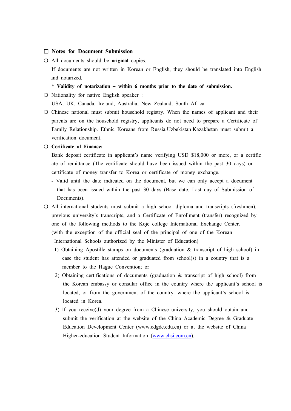#### ¨ **Notes for Document Submission**

❍ All documents should be **original** copies. If documents are not written in Korean or English, they should be translated into English and notarized.

#### **\* Validity of notarization – within 6 months prior to the date of submission.**

❍ Nationality for native English speaker :

USA, UK, Canada, Ireland, Australia, New Zealand, South Africa.

❍ Chinese national must submit household registry. When the names of applicant and their parents are on the household registry, applicants do not need to prepare a Certificate of Family Relationship. Ethnic Koreans from Russia‧Uzbekistan‧Kazakhstan must submit a verification document.

#### ❍ **Certificate of Finance:**

Bank deposit certificate in applicant's name verifying USD \$18,000 or more, or a certific ate of remittance (The certificate should have been issued within the past 30 days) or certificate of money transfer to Korea or certificate of money exchange.

- Valid until the date indicated on the document, but we can only accept a document that has been issued within the past 30 days (Base date: Last day of Submission of Documents).
- ❍ All international students must submit a high school diploma and transcripts (freshmen), previous university's transcripts, and a Certificate of Enrollment (transfer) recognized by one of the following methods to the Koje college International Exchange Center. (with the exception of the official seal of the principal of one of the Korean International Schools authorized by the Minister of Education)
	- 1) Obtaining Apostille stamps on documents (graduation & transcript of high school) in case the student has attended or graduated from  $school(s)$  in a country that is a member to the Hague Convention; or
	- 2) Obtaining certifications of documents (graduation & transcript of high school) from the Korean embassy or consular office in the country where the applicant's school is located; or from the government of the country. where the applicant's school is located in Korea.
	- 3) If you receive(d) your degree from a Chinese university, you should obtain and submit the verification at the website of the China Academic Degree & Graduate Education Development Center (www.cdgdc.edu.cn) or at the website of China Higher-education Student Information [\(www.chsi.com.cn](http://www.chsi.com.cn)).